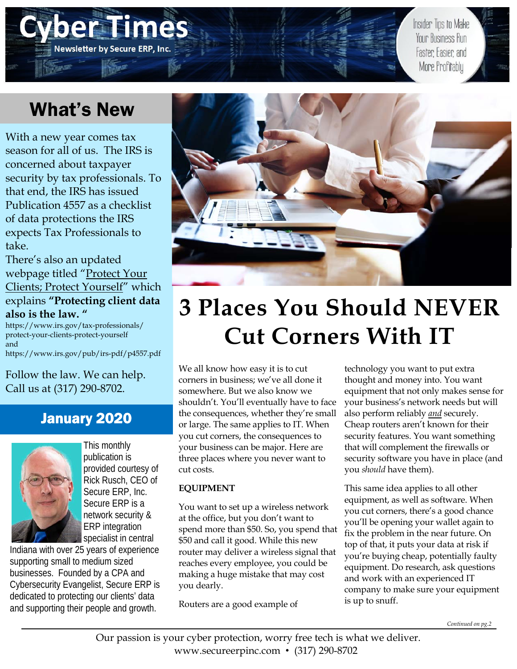# EHE AO C **Newsletter by Secure ERP, Inc.**

Insider Tips to Make Your Business Run Faster Easier and More Profitably

# What's New

With a new year comes tax season for all of us. The IRS is concerned about taxpayer security by tax professionals. To that end, the IRS has issued Publication 4557 as a checklist of data protections the IRS expects Tax Professionals to take.

There's also an updated webpage titled "Protect Your Clients; Protect Yourself" which explains **"Protecting client data also is the law. "**

https://www.irs.gov/tax-professionals/ protect-your-clients-protect-yourself and https://www.irs.gov/pub/irs-pdf/p4557.pdf

Follow the law. We can help. Call us at (317) 290-8702.

## January 2020



This monthly publication is provided courtesy of Rick Rusch, CEO of Secure ERP, Inc. Secure ERP is a network security & ERP integration specialist in central

Indiana with over 25 years of experience supporting small to medium sized businesses. Founded by a CPA and Cybersecurity Evangelist, Secure ERP is dedicated to protecting our clients' data and supporting their people and growth.



# **3 Places You Should NEVER Cut Corners With IT**

We all know how easy it is to cut corners in business; we've all done it somewhere. But we also know we shouldn't. You'll eventually have to face the consequences, whether they're small or large. The same applies to IT. When you cut corners, the consequences to your business can be major. Here are three places where you never want to cut costs.

### **EQUIPMENT**

You want to set up a wireless network at the office, but you don't want to spend more than \$50. So, you spend that \$50 and call it good. While this new router may deliver a wireless signal that reaches every employee, you could be making a huge mistake that may cost you dearly.

Routers are a good example of

technology you want to put extra thought and money into. You want equipment that not only makes sense for your business's network needs but will also perform reliably *and* securely. Cheap routers aren't known for their security features. You want something that will complement the firewalls or security software you have in place (and you *should* have them).

This same idea applies to all other equipment, as well as software. When you cut corners, there's a good chance you'll be opening your wallet again to fix the problem in the near future. On top of that, it puts your data at risk if you're buying cheap, potentially faulty equipment. Do research, ask questions and work with an experienced IT company to make sure your equipment is up to snuff.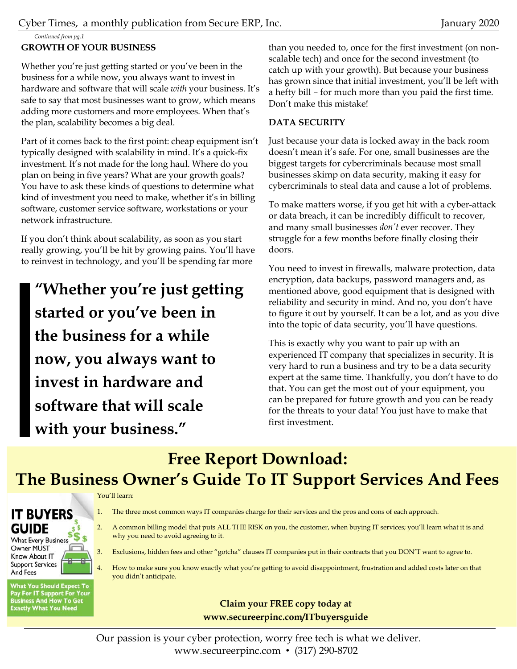Cyber Times, a monthly publication from Secure ERP, Inc. January 2020

*Continued from pg.1* 

### **GROWTH OF YOUR BUSINESS**

Whether you're just getting started or you've been in the business for a while now, you always want to invest in hardware and software that will scale *with* your business. It's safe to say that most businesses want to grow, which means adding more customers and more employees. When that's the plan, scalability becomes a big deal.

Part of it comes back to the first point: cheap equipment isn't typically designed with scalability in mind. It's a quick-fix investment. It's not made for the long haul. Where do you plan on being in five years? What are your growth goals? You have to ask these kinds of questions to determine what kind of investment you need to make, whether it's in billing software, customer service software, workstations or your network infrastructure.

If you don't think about scalability, as soon as you start really growing, you'll be hit by growing pains. You'll have to reinvest in technology, and you'll be spending far more

**"Whether you're just getting started or you've been in the business for a while now, you always want to invest in hardware and software that will scale with your business."** 

than you needed to, once for the first investment (on nonscalable tech) and once for the second investment (to catch up with your growth). But because your business has grown since that initial investment, you'll be left with a hefty bill – for much more than you paid the first time. Don't make this mistake!

### **DATA SECURITY**

Just because your data is locked away in the back room doesn't mean it's safe. For one, small businesses are the biggest targets for cybercriminals because most small businesses skimp on data security, making it easy for cybercriminals to steal data and cause a lot of problems.

To make matters worse, if you get hit with a cyber-attack or data breach, it can be incredibly difficult to recover, and many small businesses *don't* ever recover. They struggle for a few months before finally closing their doors.

You need to invest in firewalls, malware protection, data encryption, data backups, password managers and, as mentioned above, good equipment that is designed with reliability and security in mind. And no, you don't have to figure it out by yourself. It can be a lot, and as you dive into the topic of data security, you'll have questions.

This is exactly why you want to pair up with an experienced IT company that specializes in security. It is very hard to run a business and try to be a data security expert at the same time. Thankfully, you don't have to do that. You can get the most out of your equipment, you can be prepared for future growth and you can be ready for the threats to your data! You just have to make that first investment.

## **Free Report Download: The Business Owner's Guide To IT Support Services And Fees**

#### You'll learn:



**Support Services** And Fees

**What You Should Expect To** Pay For IT Support For Your<br>Business And How To Get<br>Exactly What You Need

- 1. The three most common ways IT companies charge for their services and the pros and cons of each approach.
- 2. A common billing model that puts ALL THE RISK on you, the customer, when buying IT services; you'll learn what it is and why you need to avoid agreeing to it.
- 3. Exclusions, hidden fees and other "gotcha" clauses IT companies put in their contracts that you DON'T want to agree to.
- 4. How to make sure you know exactly what you're getting to avoid disappointment, frustration and added costs later on that you didn't anticipate.

### **Claim your FREE copy today at www.secureerpinc.com/ITbuyersguide**

Our passion is your cyber protection, worry free tech is what we deliver. www.secureerpinc.com • (317) 290-8702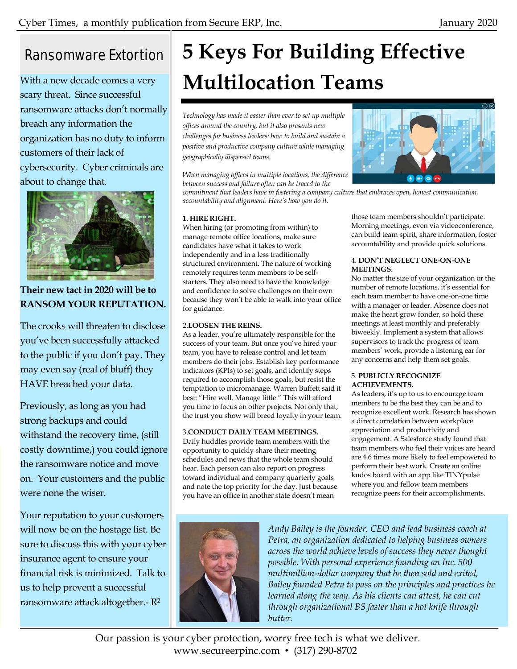## Ransomware Extortion

With a new decade comes a very scary threat. Since successful ransomware attacks don't normally breach any information the organization has no duty to inform customers of their lack of cybersecurity. Cyber criminals are about to change that.



**Their new tact in 2020 will be to RANSOM YOUR REPUTATION.** 

The crooks will threaten to disclose you've been successfully attacked to the public if you don't pay. They may even say (real of bluff) they HAVE breached your data.

Previously, as long as you had strong backups and could withstand the recovery time, (still costly downtime,) you could ignore the ransomware notice and move on. Your customers and the public were none the wiser.

Your reputation to your customers will now be on the hostage list. Be sure to discuss this with your cyber insurance agent to ensure your financial risk is minimized. Talk to us to help prevent a successful ransomware attack altogether.- R2

# **5 Keys For Building Effective Multilocation Teams**

*Technology has made it easier than ever to set up multiple offices around the country, but it also presents new challenges for business leaders: how to build and sustain a positive and productive company culture while managing geographically dispersed teams.* 

*When managing offices in multiple locations, the difference between success and failure often can be traced to the* 

*commitment that leaders have in fostering a company culture that embraces open, honest communication, accountability and alignment. Here's how you do it.*

### **1. HIRE RIGHT.**

When hiring (or promoting from within) to manage remote office locations, make sure candidates have what it takes to work independently and in a less traditionally structured environment. The nature of working remotely requires team members to be selfstarters. They also need to have the knowledge and confidence to solve challenges on their own because they won't be able to walk into your office for guidance.

#### 2.**LOOSEN THE REINS.**

As a leader, you're ultimately responsible for the success of your team. But once you've hired your team, you have to release control and let team members do their jobs. Establish key performance indicators (KPIs) to set goals, and identify steps required to accomplish those goals, but resist the temptation to micromanage. Warren Buffett said it best: "Hire well. Manage little." This will afford you time to focus on other projects. Not only that, the trust you show will breed loyalty in your team.

### 3.**CONDUCT DAILY TEAM MEETINGS.**

Daily huddles provide team members with the opportunity to quickly share their meeting schedules and news that the whole team should hear. Each person can also report on progress toward individual and company quarterly goals and note the top priority for the day. Just because you have an office in another state doesn't mean



those team members shouldn't participate. Morning meetings, even via videoconference, can build team spirit, share information, foster accountability and provide quick solutions.

#### 4. **DON'T NEGLECT ONE-ON-ONE MEETINGS.**

No matter the size of your organization or the number of remote locations, it's essential for each team member to have one-on-one time with a manager or leader. Absence does not make the heart grow fonder, so hold these meetings at least monthly and preferably biweekly. Implement a system that allows supervisors to track the progress of team members' work, provide a listening ear for any concerns and help them set goals.

#### 5. **PUBLICLY RECOGNIZE ACHIEVEMENTS.**

As leaders, it's up to us to encourage team members to be the best they can be and to recognize excellent work. Research has shown a direct correlation between workplace appreciation and productivity and engagement. A Salesforce study found that team members who feel their voices are heard are 4.6 times more likely to feel empowered to perform their best work. Create an online kudos board with an app like TINYpulse where you and fellow team members recognize peers for their accomplishments.



*Andy Bailey is the founder, CEO and lead business coach at Petra, an organization dedicated to helping business owners across the world achieve levels of success they never thought possible. With personal experience founding an Inc. 500 multimillion-dollar company that he then sold and exited, Bailey founded Petra to pass on the principles and practices he learned along the way. As his clients can attest, he can cut through organizational BS faster than a hot knife through butter.* 

Our passion is your cyber protection, worry free tech is what we deliver. www.secureerpinc.com • (317) 290-8702